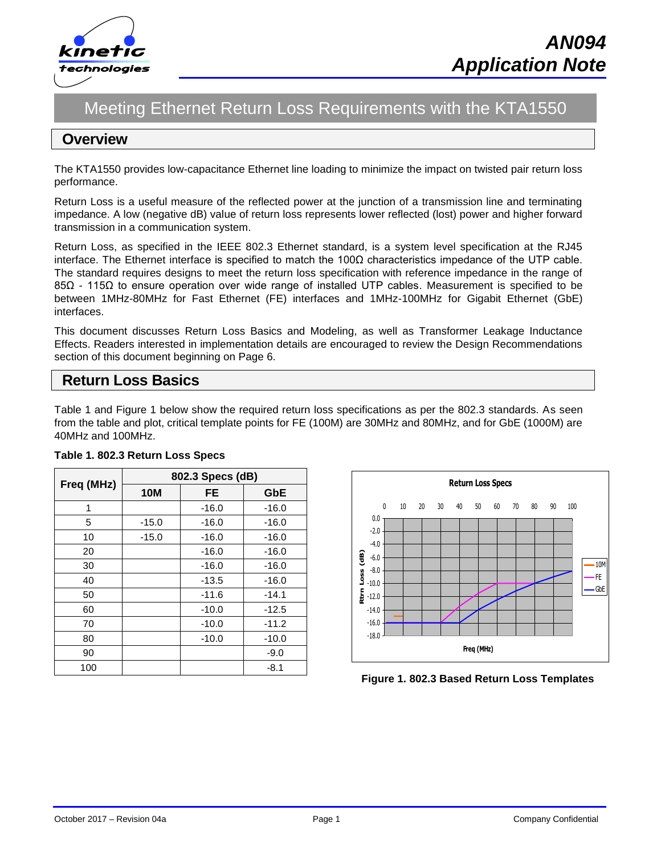

# Meeting Ethernet Return Loss Requirements with the KTA1550

### **Overview**

The KTA1550 provides low-capacitance Ethernet line loading to minimize the impact on twisted pair return loss performance.

Return Loss is a useful measure of the reflected power at the junction of a transmission line and terminating impedance. A low (negative dB) value of return loss represents lower reflected (lost) power and higher forward transmission in a communication system.

Return Loss, as specified in the IEEE 802.3 Ethernet standard, is a system level specification at the RJ45 interface. The Ethernet interface is specified to match the 100Ω characteristics impedance of the UTP cable. The standard requires designs to meet the return loss specification with reference impedance in the range of 85Ω - 115Ω to ensure operation over wide range of installed UTP cables. Measurement is specified to be between 1MHz-80MHz for Fast Ethernet (FE) interfaces and 1MHz-100MHz for Gigabit Ethernet (GbE) interfaces.

This document discusses Return Loss Basics and Modeling, as well as Transformer Leakage Inductance Effects. Readers interested in implementation details are encouraged to review the Design Recommendations section of this document beginning on Page 6.

### **Return Loss Basics**

**Table 1. 802.3 Return Loss Specs**

Table 1 and Figure 1 below show the required return loss specifications as per the 802.3 standards. As seen from the table and plot, critical template points for FE (100M) are 30MHz and 80MHz, and for GbE (1000M) are 40MHz and 100MHz.

|            | 802.3 Specs (dB) |         |            |  |  |
|------------|------------------|---------|------------|--|--|
| Freq (MHz) | <b>10M</b>       | FE      | <b>GbE</b> |  |  |
| 1          |                  | $-16.0$ | $-16.0$    |  |  |
| 5          | $-15.0$          | $-16.0$ | $-16.0$    |  |  |
| 10         | $-15.0$          | $-16.0$ | $-16.0$    |  |  |
| 20         |                  | $-16.0$ | $-16.0$    |  |  |
| 30         |                  | $-16.0$ | $-16.0$    |  |  |
| 40         |                  | $-13.5$ | $-16.0$    |  |  |
| 50         |                  | $-11.6$ | $-14.1$    |  |  |
| 60         |                  | $-10.0$ | $-12.5$    |  |  |
| 70         |                  | $-10.0$ | $-11.2$    |  |  |
| 80         |                  | $-10.0$ | $-10.0$    |  |  |
| 90         |                  |         | $-9.0$     |  |  |
| 100        |                  |         | $-8.1$     |  |  |

#### **Return Loss Specs** 0 10 20 30 40 50 60 70 80 90 100 0.0 -2.0 -4.0 e)<br>T **Rtrn Loss (dB)** -6.0 10M -8.0 Loss FE -10.0 Rtrn I GbE -12.0 -14.0 -16.0 -18.0 **Freq (MHz)**

**Figure 1. 802.3 Based Return Loss Templates**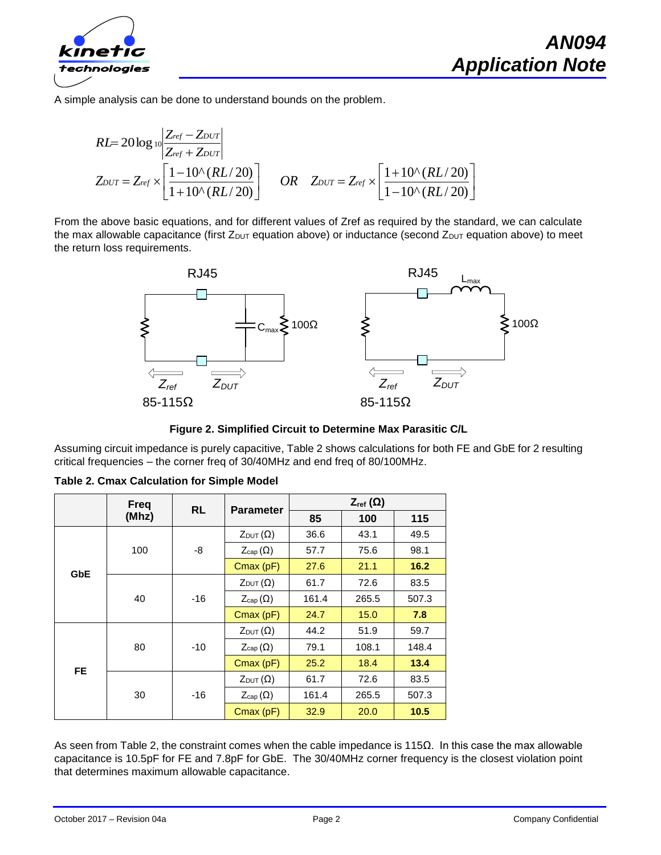

A simple analysis can be done to understand bounds on the problem.

$$
RL = 20 \log_{10} \left| \frac{Z_{ref} - Z_{DUT}}{Z_{ref} + Z_{DUT}} \right|
$$
  
\n
$$
Z_{DUT} = Z_{ref} \times \left[ \frac{1 - 10^{\wedge} (RL/20)}{1 + 10^{\wedge} (RL/20)} \right] \qquad OR \qquad Z_{DUT} = Z_{ref} \times \left[ \frac{1 + 10^{\wedge} (RL/20)}{1 - 10^{\wedge} (RL/20)} \right]
$$

From the above basic equations, and for different values of Zref as required by the standard, we can calculate the max allowable capacitance (first  $Z_{DUT}$  equation above) or inductance (second  $Z_{DUT}$  equation above) to meet the return loss requirements.



**Figure 2. Simplified Circuit to Determine Max Parasitic C/L**

Assuming circuit impedance is purely capacitive, Table 2 shows calculations for both FE and GbE for 2 resulting critical frequencies – the corner freq of 30/40MHz and end freq of 80/100MHz.

|            | <b>Freq</b> | <b>RL</b> | <b>Parameter</b>         | $Z_{\text{ref}}(\Omega)$ |       |       |
|------------|-------------|-----------|--------------------------|--------------------------|-------|-------|
|            | (Mhz)       |           |                          | 85                       | 100   | 115   |
| <b>GbE</b> | 100         | -8        | $Z_{\text{DUT}}(\Omega)$ | 36.6                     | 43.1  | 49.5  |
|            |             |           | $Z_{\text{cap}}(\Omega)$ | 57.7                     | 75.6  | 98.1  |
|            |             |           | Cmax(pF)                 | 27.6                     | 21.1  | 16.2  |
|            | 40          | $-16$     | $Z_{\text{DUT}}(\Omega)$ | 61.7                     | 72.6  | 83.5  |
|            |             |           | $Z_{\text{cap}}(\Omega)$ | 161.4                    | 265.5 | 507.3 |
|            |             |           | Cmax(pF)                 | 24.7                     | 15.0  | 7.8   |
| FE.        | 80          | $-10$     | $Z_{\text{DUT}}(\Omega)$ | 44.2                     | 51.9  | 59.7  |
|            |             |           | $Z_{\text{cap}}(\Omega)$ | 79.1                     | 108.1 | 148.4 |
|            |             |           | Cmax(pF)                 | 25.2                     | 18.4  | 13.4  |
|            | 30<br>$-16$ |           | $Z_{\text{DUT}}(\Omega)$ | 61.7                     | 72.6  | 83.5  |
|            |             |           | $Z_{\text{cap}}(\Omega)$ | 161.4                    | 265.5 | 507.3 |
|            |             |           | Cmax(pF)                 | 32.9                     | 20.0  | 10.5  |

**Table 2. Cmax Calculation for Simple Model**

As seen from Table 2, the constraint comes when the cable impedance is 115Ω. In this case the max allowable capacitance is 10.5pF for FE and 7.8pF for GbE. The 30/40MHz corner frequency is the closest violation point that determines maximum allowable capacitance.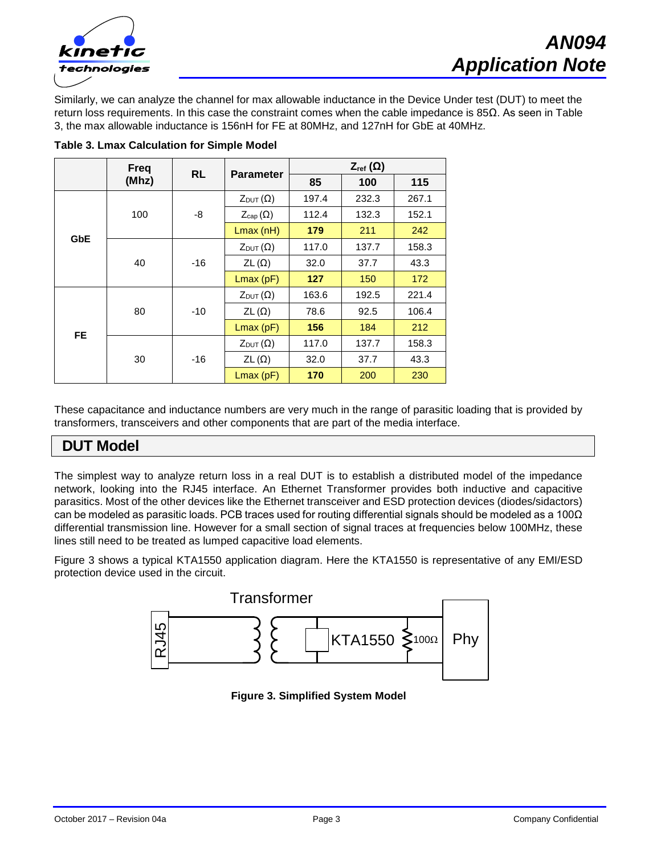

Similarly, we can analyze the channel for max allowable inductance in the Device Under test (DUT) to meet the return loss requirements. In this case the constraint comes when the cable impedance is 85Ω. As seen in Table 3, the max allowable inductance is 156nH for FE at 80MHz, and 127nH for GbE at 40MHz.

|            | <b>Freq</b> | <b>RL</b> | <b>Parameter</b>         | $Z_{ref}(\Omega)$ |       |       |
|------------|-------------|-----------|--------------------------|-------------------|-------|-------|
|            | (Mhz)       |           |                          | 85                | 100   | 115   |
| <b>GbE</b> | 100         | -8        | $Z_{\text{DUT}}(\Omega)$ | 197.4             | 232.3 | 267.1 |
|            |             |           | $Z_{\text{cap}}(\Omega)$ | 112.4             | 132.3 | 152.1 |
|            |             |           | Lmax(nH)                 | 179               | 211   | 242   |
|            | 40          | $-16$     | $Z_{\text{DUT}}(\Omega)$ | 117.0             | 137.7 | 158.3 |
|            |             |           | $ZL(\Omega)$             | 32.0              | 37.7  | 43.3  |
|            |             |           | Lmax(pF)                 | 127               | 150   | 172   |
| <b>FE</b>  | 80          | $-10$     | $Z_{\text{DUT}}(\Omega)$ | 163.6             | 192.5 | 221.4 |
|            |             |           | $ZL(\Omega)$             | 78.6              | 92.5  | 106.4 |
|            |             |           | Lmax(pF)                 | 156               | 184   | 212   |
|            | 30          | $-16$     | $Z_{\text{DUT}}(\Omega)$ | 117.0             | 137.7 | 158.3 |
|            |             |           | $ZL(\Omega)$             | 32.0              | 37.7  | 43.3  |
|            |             |           | Lmax(pF)                 | 170               | 200   | 230   |

**Table 3. Lmax Calculation for Simple Model**

These capacitance and inductance numbers are very much in the range of parasitic loading that is provided by transformers, transceivers and other components that are part of the media interface.

### **DUT Model**

The simplest way to analyze return loss in a real DUT is to establish a distributed model of the impedance network, looking into the RJ45 interface. An Ethernet Transformer provides both inductive and capacitive parasitics. Most of the other devices like the Ethernet transceiver and ESD protection devices (diodes/sidactors) can be modeled as parasitic loads. PCB traces used for routing differential signals should be modeled as a 100 $\Omega$ differential transmission line. However for a small section of signal traces at frequencies below 100MHz, these lines still need to be treated as lumped capacitive load elements.

Figure 3 shows a typical KTA1550 application diagram. Here the KTA1550 is representative of any EMI/ESD protection device used in the circuit.



**Figure 3. Simplified System Model**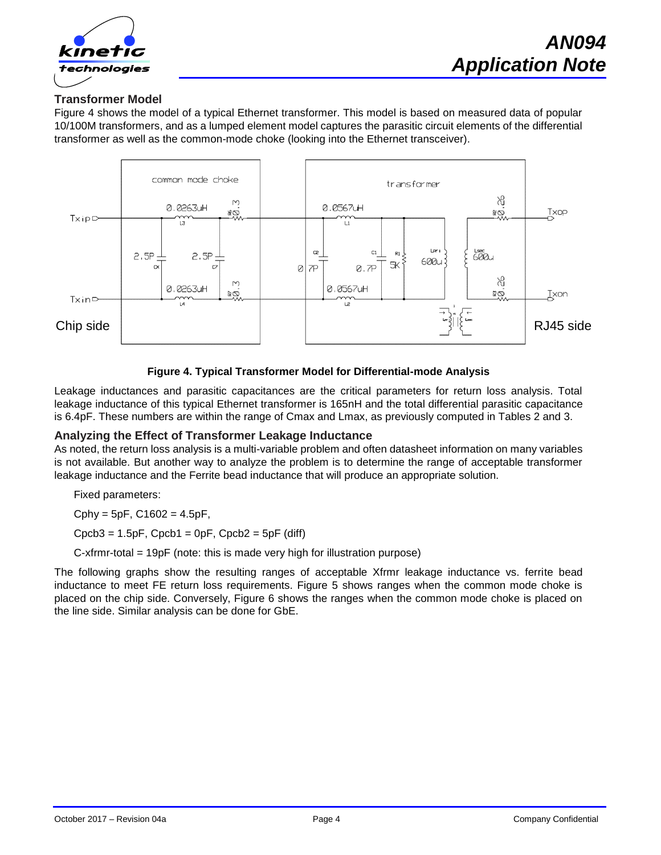

#### **Transformer Model**

Figure 4 shows the model of a typical Ethernet transformer. This model is based on measured data of popular 10/100M transformers, and as a lumped element model captures the parasitic circuit elements of the differential transformer as well as the common-mode choke (looking into the Ethernet transceiver).



#### **Figure 4. Typical Transformer Model for Differential-mode Analysis**

Leakage inductances and parasitic capacitances are the critical parameters for return loss analysis. Total leakage inductance of this typical Ethernet transformer is 165nH and the total differential parasitic capacitance is 6.4pF. These numbers are within the range of Cmax and Lmax, as previously computed in Tables 2 and 3.

#### **Analyzing the Effect of Transformer Leakage Inductance**

As noted, the return loss analysis is a multi-variable problem and often datasheet information on many variables is not available. But another way to analyze the problem is to determine the range of acceptable transformer leakage inductance and the Ferrite bead inductance that will produce an appropriate solution.

Fixed parameters:

 $Cphy = 5pF$ ,  $C1602 = 4.5pF$ ,

 $Cpcb3 = 1.5pF$ ,  $Cpcb1 = 0pF$ ,  $Cpcb2 = 5pF$  (diff)

C-xfrmr-total = 19pF (note: this is made very high for illustration purpose)

The following graphs show the resulting ranges of acceptable Xfrmr leakage inductance vs. ferrite bead inductance to meet FE return loss requirements. Figure 5 shows ranges when the common mode choke is placed on the chip side. Conversely, Figure 6 shows the ranges when the common mode choke is placed on the line side. Similar analysis can be done for GbE.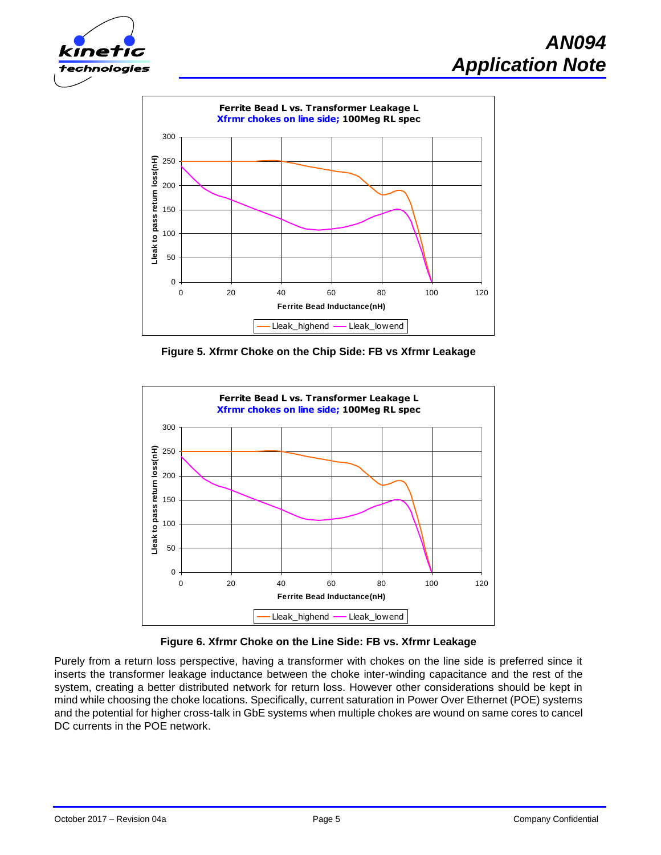

*AN094*





**Figure 5. Xfrmr Choke on the Chip Side: FB vs Xfrmr Leakage**



**Figure 6. Xfrmr Choke on the Line Side: FB vs. Xfrmr Leakage**

Purely from a return loss perspective, having a transformer with chokes on the line side is preferred since it inserts the transformer leakage inductance between the choke inter-winding capacitance and the rest of the system, creating a better distributed network for return loss. However other considerations should be kept in mind while choosing the choke locations. Specifically, current saturation in Power Over Ethernet (POE) systems and the potential for higher cross-talk in GbE systems when multiple chokes are wound on same cores to cancel DC currents in the POE network.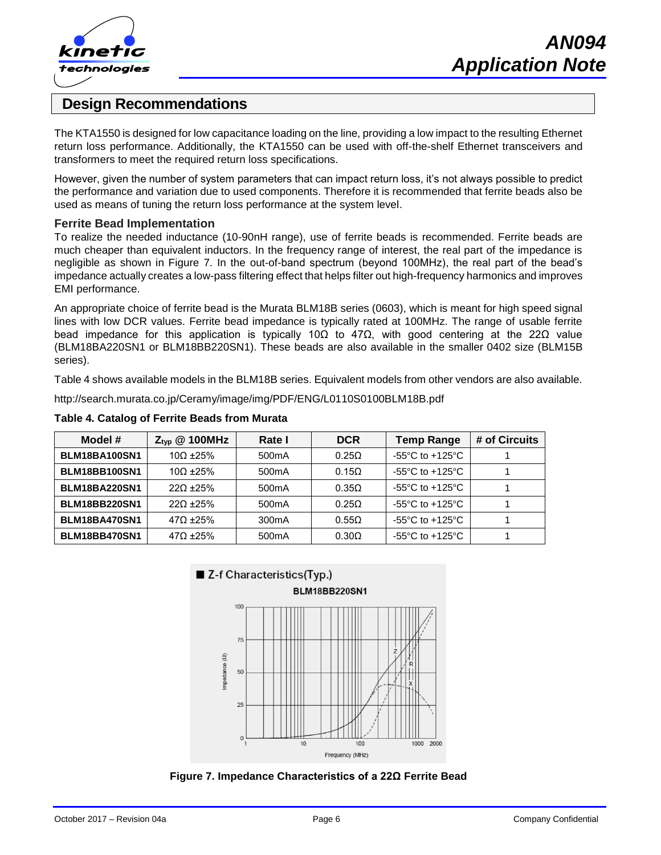

## **Design Recommendations**

The KTA1550 is designed for low capacitance loading on the line, providing a low impact to the resulting Ethernet return loss performance. Additionally, the KTA1550 can be used with off-the-shelf Ethernet transceivers and transformers to meet the required return loss specifications.

However, given the number of system parameters that can impact return loss, it's not always possible to predict the performance and variation due to used components. Therefore it is recommended that ferrite beads also be used as means of tuning the return loss performance at the system level.

#### **Ferrite Bead Implementation**

To realize the needed inductance (10-90nH range), use of ferrite beads is recommended. Ferrite beads are much cheaper than equivalent inductors. In the frequency range of interest, the real part of the impedance is negligible as shown in Figure 7. In the out-of-band spectrum (beyond 100MHz), the real part of the bead's impedance actually creates a low-pass filtering effect that helps filter out high-frequency harmonics and improves EMI performance.

An appropriate choice of ferrite bead is the Murata BLM18B series (0603), which is meant for high speed signal lines with low DCR values. Ferrite bead impedance is typically rated at 100MHz. The range of usable ferrite bead impedance for this application is typically 10Ω to 47Ω, with good centering at the 22Ω value (BLM18BA220SN1 or BLM18BB220SN1). These beads are also available in the smaller 0402 size (BLM15B series).

Table 4 shows available models in the BLM18B series. Equivalent models from other vendors are also available.

<http://search.murata.co.jp/Ceramy/image/img/PDF/ENG/L0110S0100BLM18B.pdf>

| Model #              | $Z_{\text{typ}}$ @ 100MHz | Rate I             | <b>DCR</b>   | Temp Range                                            | # of Circuits |
|----------------------|---------------------------|--------------------|--------------|-------------------------------------------------------|---------------|
| <b>BLM18BA100SN1</b> | $10\Omega$ ±25%           | 500 <sub>m</sub> A | $0.25\Omega$ | -55 $\mathrm{^{\circ}C}$ to +125 $\mathrm{^{\circ}C}$ |               |
| <b>BLM18BB100SN1</b> | $10\Omega$ ±25%           | 500 <sub>m</sub> A | $0.15\Omega$ | $-55^{\circ}$ C to $+125^{\circ}$ C                   |               |
| <b>BLM18BA220SN1</b> | $220 + 25%$               | 500 <sub>m</sub> A | $0.35\Omega$ | -55 $\mathrm{^{\circ}C}$ to +125 $\mathrm{^{\circ}C}$ |               |
| <b>BLM18BB220SN1</b> | $220 + 25%$               | 500 <sub>m</sub> A | 0.250        | $-55^{\circ}$ C to $+125^{\circ}$ C                   |               |
| <b>BLM18BA470SN1</b> | $470 + 25%$               | 300 <sub>m</sub> A | $0.55\Omega$ | -55 $\mathrm{^{\circ}C}$ to +125 $\mathrm{^{\circ}C}$ |               |
| <b>BLM18BB470SN1</b> | $470 + 25%$               | 500 <sub>m</sub> A | $0.30\Omega$ | -55 $\mathrm{^{\circ}C}$ to +125 $\mathrm{^{\circ}C}$ |               |

#### **Table 4. Catalog of Ferrite Beads from Murata**



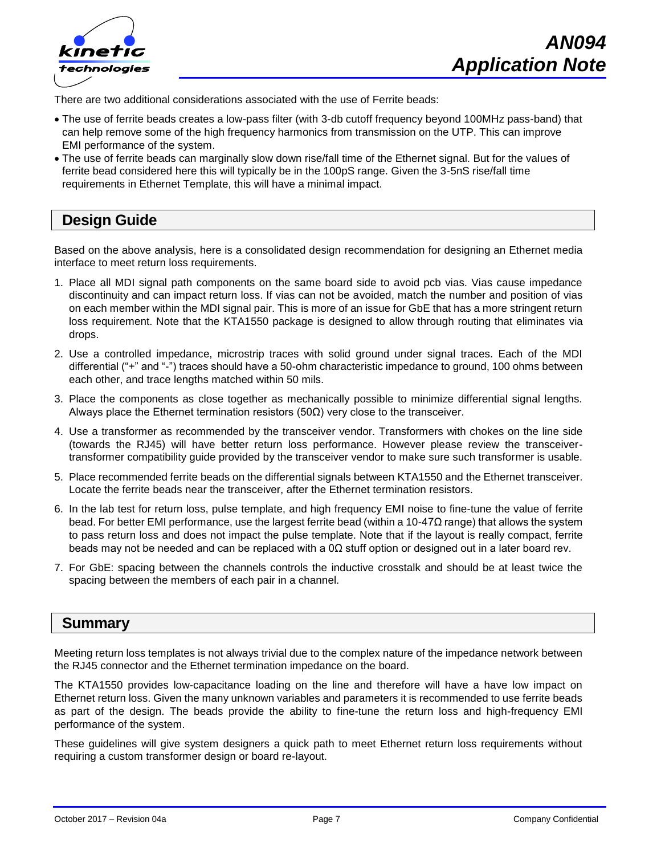

There are two additional considerations associated with the use of Ferrite beads:

- The use of ferrite beads creates a low-pass filter (with 3-db cutoff frequency beyond 100MHz pass-band) that can help remove some of the high frequency harmonics from transmission on the UTP. This can improve EMI performance of the system.
- The use of ferrite beads can marginally slow down rise/fall time of the Ethernet signal. But for the values of ferrite bead considered here this will typically be in the 100pS range. Given the 3-5nS rise/fall time requirements in Ethernet Template, this will have a minimal impact.

### **Design Guide**

Based on the above analysis, here is a consolidated design recommendation for designing an Ethernet media interface to meet return loss requirements.

- 1. Place all MDI signal path components on the same board side to avoid pcb vias. Vias cause impedance discontinuity and can impact return loss. If vias can not be avoided, match the number and position of vias on each member within the MDI signal pair. This is more of an issue for GbE that has a more stringent return loss requirement. Note that the KTA1550 package is designed to allow through routing that eliminates via drops.
- 2. Use a controlled impedance, microstrip traces with solid ground under signal traces. Each of the MDI differential ("+" and "-") traces should have a 50-ohm characteristic impedance to ground, 100 ohms between each other, and trace lengths matched within 50 mils.
- 3. Place the components as close together as mechanically possible to minimize differential signal lengths. Always place the Ethernet termination resistors ( $50\Omega$ ) very close to the transceiver.
- 4. Use a transformer as recommended by the transceiver vendor. Transformers with chokes on the line side (towards the RJ45) will have better return loss performance. However please review the transceivertransformer compatibility guide provided by the transceiver vendor to make sure such transformer is usable.
- 5. Place recommended ferrite beads on the differential signals between KTA1550 and the Ethernet transceiver. Locate the ferrite beads near the transceiver, after the Ethernet termination resistors.
- 6. In the lab test for return loss, pulse template, and high frequency EMI noise to fine-tune the value of ferrite bead. For better EMI performance, use the largest ferrite bead (within a 10-47Ω range) that allows the system to pass return loss and does not impact the pulse template. Note that if the layout is really compact, ferrite beads may not be needed and can be replaced with a  $0Ω$  stuff option or designed out in a later board rev.
- 7. For GbE: spacing between the channels controls the inductive crosstalk and should be at least twice the spacing between the members of each pair in a channel.

### **Summary**

Meeting return loss templates is not always trivial due to the complex nature of the impedance network between the RJ45 connector and the Ethernet termination impedance on the board.

The KTA1550 provides low-capacitance loading on the line and therefore will have a have low impact on Ethernet return loss. Given the many unknown variables and parameters it is recommended to use ferrite beads as part of the design. The beads provide the ability to fine-tune the return loss and high-frequency EMI performance of the system.

These guidelines will give system designers a quick path to meet Ethernet return loss requirements without requiring a custom transformer design or board re-layout.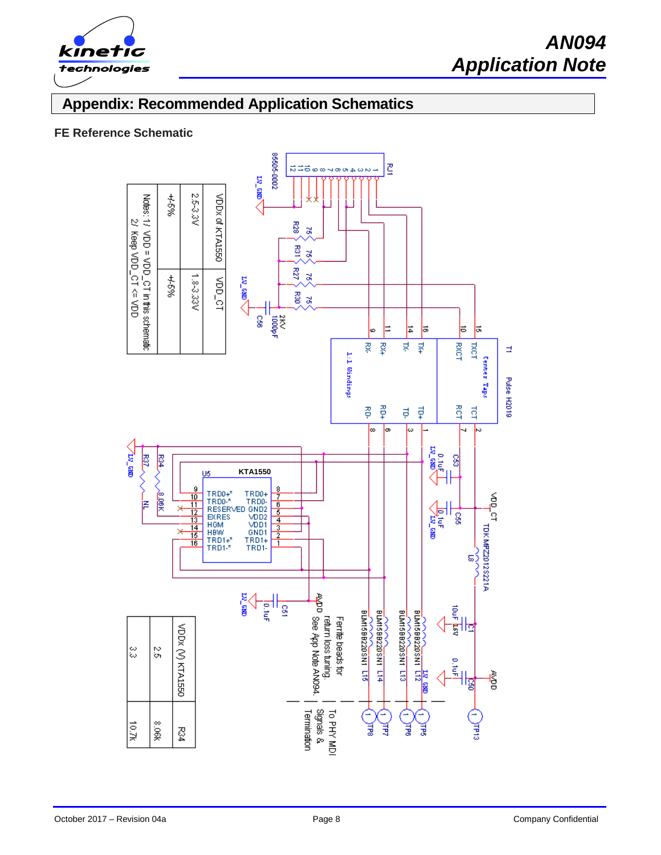

# **Appendix: Recommended Application Schematics**

### **FE Reference Schematic**

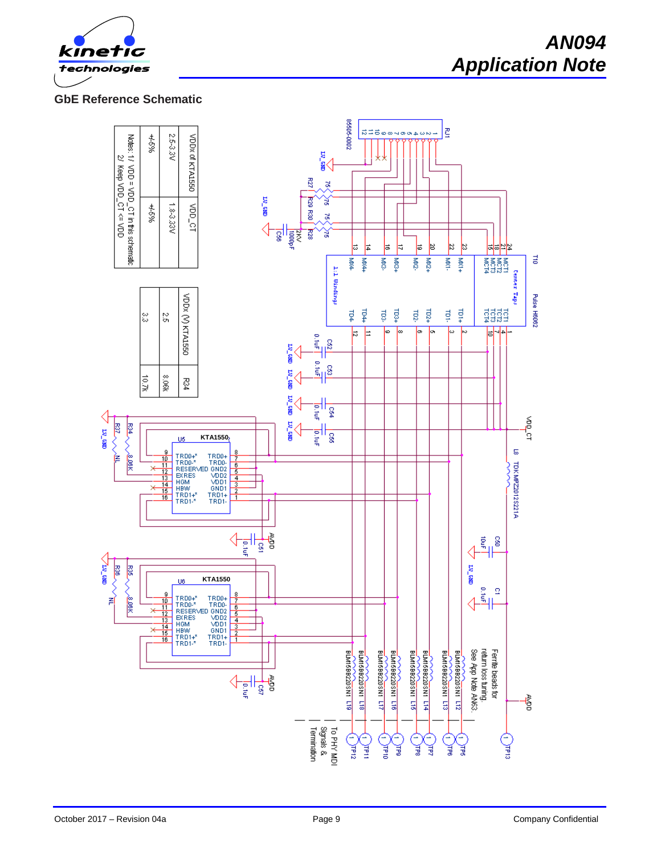

### **GbE Reference Schematic**